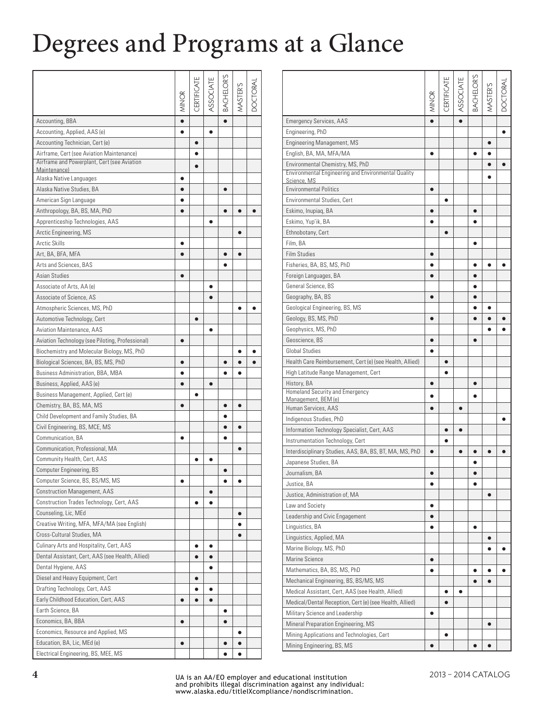# Degrees and Programs at a Glance

|                                                                    | MINOR     | ERTIFICATI | SSOCIATE  | BACHELOR <sup>*</sup> | <b>MSTER'S</b>         | PACTORAL  |
|--------------------------------------------------------------------|-----------|------------|-----------|-----------------------|------------------------|-----------|
| Accounting, BBA                                                    | $\bullet$ |            |           |                       |                        |           |
| Accounting, Applied, AAS (e)                                       |           |            | $\bullet$ |                       |                        |           |
| Accounting Technician, Cert (e)                                    |           | $\bullet$  |           |                       |                        |           |
| Airframe, Cert (see Aviation Maintenance)                          |           | ●          |           |                       |                        |           |
| Airframe and Powerplant, Cert (see Aviation<br>Maintenance)        |           |            |           |                       |                        |           |
| Alaska Native Languages                                            | $\bullet$ |            |           |                       |                        |           |
| Alaska Native Studies, BA                                          | $\bullet$ |            |           | $\bullet$             |                        |           |
| American Sign Language                                             | $\bullet$ |            |           |                       |                        |           |
| Anthropology, BA, BS, MA, PhD                                      | $\bullet$ |            |           | $\bullet$             | $\bullet$              | $\bullet$ |
| Apprenticeship Technologies, AAS                                   |           |            | $\bullet$ |                       |                        |           |
| Arctic Engineering, MS                                             |           |            |           |                       | $\bullet$              |           |
| Arctic Skills                                                      | $\bullet$ |            |           |                       |                        |           |
| Art, BA, BFA, MFA                                                  | $\bullet$ |            |           | $\bullet$             | $\bullet$              |           |
| Arts and Sciences, BAS                                             |           |            |           |                       |                        |           |
| Asian Studies                                                      | $\bullet$ |            |           |                       |                        |           |
| Associate of Arts, AA (e)                                          |           |            | $\bullet$ |                       |                        |           |
| Associate of Science, AS                                           |           |            | $\bullet$ |                       |                        |           |
| Atmospheric Sciences, MS, PhD                                      |           |            |           |                       | $\bullet$              |           |
| Automotive Technology, Cert                                        |           | $\bullet$  |           |                       |                        |           |
| <b>Aviation Maintenance, AAS</b>                                   |           |            | $\bullet$ |                       |                        |           |
| Aviation Technology (see Piloting, Professional)                   | $\bullet$ |            |           |                       |                        |           |
| Biochemistry and Molecular Biology, MS, PhD                        |           |            |           |                       | $\bullet$              |           |
| Biological Sciences, BA, BS, MS, PhD                               | $\bullet$ |            |           | $\bullet$             | $\bullet$              |           |
| Business Administration, BBA, MBA                                  | $\bullet$ |            |           | $\bullet$             | $\bullet$              |           |
| Business, Applied, AAS (e)                                         | $\bullet$ |            | $\bullet$ |                       |                        |           |
| Business Management, Applied, Cert (e)                             |           | $\bullet$  |           |                       |                        |           |
| Chemistry, BA, BS, MA, MS                                          | $\bullet$ |            |           | $\bullet$             | $\bullet$              |           |
| Child Development and Family Studies, BA                           |           |            |           | $\bullet$             |                        |           |
| Civil Engineering, BS, MCE, MS                                     |           |            |           | $\bullet$             | $\bullet$              |           |
| Communication, BA                                                  | $\bullet$ |            |           | $\bullet$             |                        |           |
| Communication, Professional, MA                                    |           |            |           |                       | $\bullet$              |           |
| Community Health, Cert, AAS                                        |           | $\bullet$  | ٠         |                       |                        |           |
| Computer Engineering, BS                                           |           |            |           |                       |                        |           |
| Computer Science, BS, BS/MS, MS                                    |           |            |           |                       |                        |           |
| <b>Construction Management, AAS</b>                                |           |            | $\bullet$ |                       |                        |           |
| Construction Trades Technology, Cert, AAS                          |           | $\bullet$  | $\bullet$ |                       |                        |           |
| Counseling, Lic, MEd                                               |           |            |           |                       | $\bullet$              |           |
| Creative Writing, MFA, MFA/MA (see English)                        |           |            |           |                       | $\bullet$              |           |
| Cross-Cultural Studies, MA                                         |           |            |           |                       | $\bullet$              |           |
| Culinary Arts and Hospitality, Cert, AAS                           |           | $\bullet$  | $\bullet$ |                       |                        |           |
| Dental Assistant, Cert, AAS (see Health, Allied)                   |           | $\bullet$  | $\bullet$ |                       |                        |           |
| Dental Hygiene, AAS                                                |           |            | $\bullet$ |                       |                        |           |
| Diesel and Heavy Equipment, Cert                                   |           | $\bullet$  |           |                       |                        |           |
| Drafting Technology, Cert, AAS                                     |           | $\bullet$  | $\bullet$ |                       |                        |           |
| Early Childhood Education, Cert, AAS                               | $\bullet$ | $\bullet$  | $\bullet$ |                       |                        |           |
| Earth Science, BA                                                  |           |            |           | $\bullet$             |                        |           |
| Economics, BA, BBA                                                 | $\bullet$ |            |           | $\bullet$             |                        |           |
| Economics, Resource and Applied, MS<br>Education, BA, Lic, MEd (e) |           |            |           |                       | $\bullet$<br>$\bullet$ |           |
|                                                                    | $\bullet$ |            |           | $\bullet$             |                        |           |
| Electrical Engineering, BS, MEE, MS                                |           |            |           |                       |                        |           |

|                                                                    | MINOR     | CERTIFICATE | ASSOCIATE | BACHELOR'S | MASTER'S  |           |
|--------------------------------------------------------------------|-----------|-------------|-----------|------------|-----------|-----------|
| <b>Emergency Services, AAS</b>                                     | $\bullet$ |             |           |            |           |           |
| Engineering, PhD                                                   |           |             |           |            |           | ٠         |
| <b>Engineering Management, MS</b>                                  |           |             |           |            | $\bullet$ |           |
| English, BA, MA, MFA/MA                                            | $\bullet$ |             |           | $\bullet$  | $\bullet$ |           |
| Environmental Chemistry, MS, PhD                                   |           |             |           |            | $\bullet$ | $\bullet$ |
| Environmental Engineering and Environmental Quality<br>Science, MS |           |             |           |            |           |           |
| <b>Environmental Politics</b>                                      | $\bullet$ |             |           |            |           |           |
| <b>Environmental Studies, Cert</b>                                 |           | $\bullet$   |           |            |           |           |
| Eskimo, Inupiaq, BA                                                | $\bullet$ |             |           | $\bullet$  |           |           |
| Eskimo, Yup'ik, BA                                                 |           |             |           |            |           |           |
| Ethnobotany, Cert                                                  |           | $\bullet$   |           |            |           |           |
| Film, BA                                                           |           |             |           |            |           |           |
| <b>Film Studies</b>                                                | $\bullet$ |             |           |            |           |           |
| Fisheries, BA, BS, MS, PhD                                         |           |             |           |            |           |           |
| Foreign Languages, BA                                              |           |             |           |            |           |           |
| General Science, BS                                                |           |             |           |            |           |           |
| Geography, BA, BS                                                  | $\bullet$ |             |           |            |           |           |
| Geological Engineering, BS, MS                                     |           |             |           |            |           |           |
| Geology, BS, MS, PhD                                               | $\bullet$ |             |           |            |           |           |
| Geophysics, MS, PhD                                                |           |             |           |            |           |           |
| Geoscience, BS                                                     | $\bullet$ |             |           | $\bullet$  |           |           |
| <b>Global Studies</b>                                              |           |             |           |            |           |           |
| Health Care Reimbursement, Cert (e) (see Health, Allied)           |           | $\bullet$   |           |            |           |           |
| High Latitude Range Management, Cert                               |           |             |           |            |           |           |
| History, BA                                                        | $\bullet$ |             |           | $\bullet$  |           |           |
| Homeland Security and Emergency                                    |           |             |           |            |           |           |
| Management, BEM (e)                                                |           |             |           |            |           |           |
| Human Services, AAS                                                |           |             | $\bullet$ |            |           |           |
| Indigenous Studies, PhD                                            |           |             |           |            |           |           |
| Information Technology Specialist, Cert, AAS                       |           | $\bullet$   |           |            |           |           |
| Instrumentation Technology, Cert                                   |           |             |           |            |           |           |
| Interdisciplinary Studies, AAS, BA, BS, BT, MA, MS, PhD            | $\bullet$ |             |           |            | $\bullet$ |           |
| Japanese Studies, BA                                               |           |             |           |            |           |           |
| Journalism, BA                                                     |           |             |           |            |           |           |
| Justice, BA                                                        | $\bullet$ |             |           |            |           |           |
| Justice, Administration of, MA                                     |           |             |           |            | $\bullet$ |           |
| Law and Society                                                    | $\bullet$ |             |           |            |           |           |
| Leadership and Civic Engagement                                    | $\bullet$ |             |           |            |           |           |
| Linguistics, BA                                                    | ٠         |             |           | $\bullet$  |           |           |
| Linguistics, Applied, MA                                           |           |             |           |            | $\bullet$ |           |
| Marine Biology, MS, PhD                                            |           |             |           |            | $\bullet$ | $\bullet$ |
| Marine Science                                                     | $\bullet$ |             |           |            |           |           |
| Mathematics, BA, BS, MS, PhD                                       | $\bullet$ |             |           |            | $\bullet$ |           |
| Mechanical Engineering, BS, BS/MS, MS                              |           |             |           |            | $\bullet$ |           |
| Medical Assistant, Cert, AAS (see Health, Allied)                  |           | $\bullet$   | $\bullet$ |            |           |           |
| Medical/Dental Reception, Cert (e) (see Health, Allied)            |           | $\bullet$   |           |            |           |           |
| Military Science and Leadership                                    | $\bullet$ |             |           |            |           |           |
| Mineral Preparation Engineering, MS                                |           | $\bullet$   |           |            | $\bullet$ |           |
| Mining Applications and Technologies, Cert                         |           |             |           |            |           |           |
| Mining Engineering, BS, MS                                         | $\bullet$ |             |           | $\bullet$  | $\bullet$ |           |